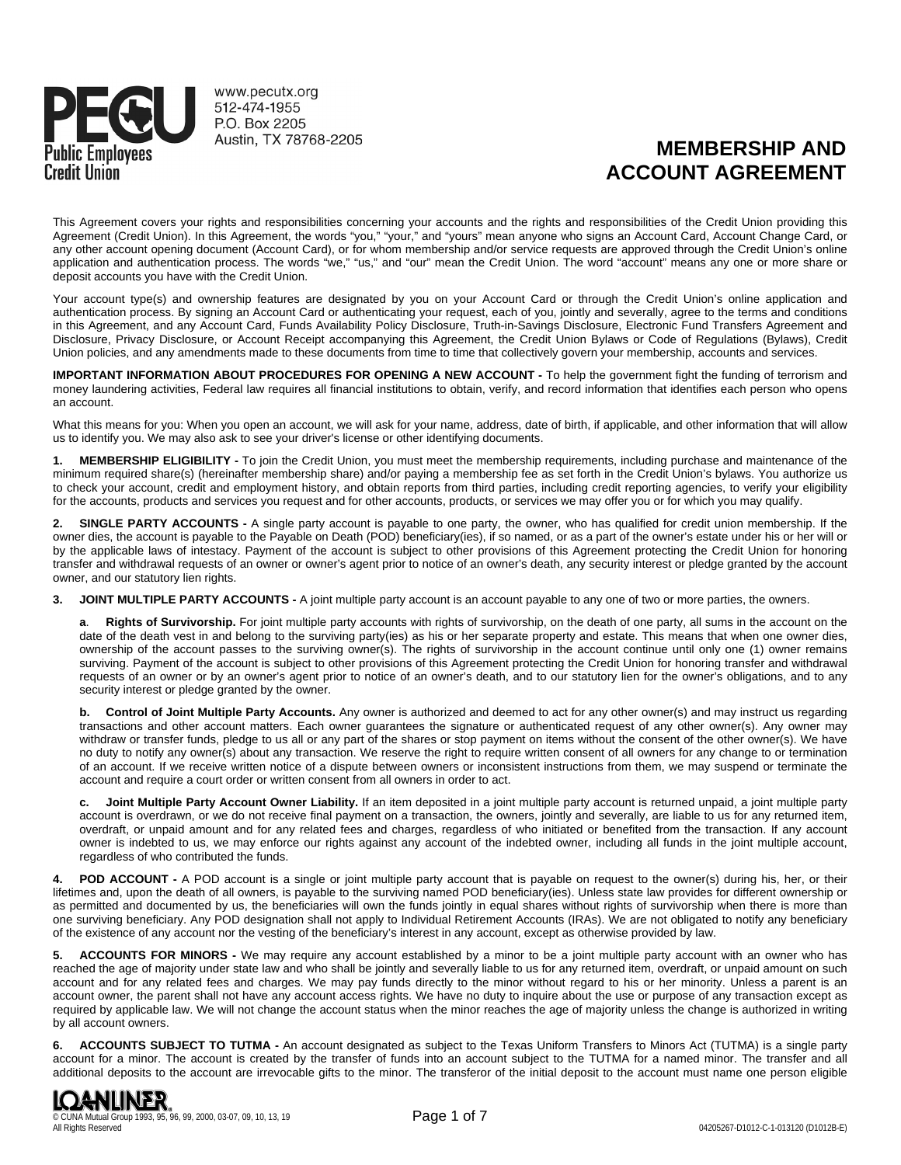

www.pecutx.org 512-474-1955 P.O. Box 2205 Austin, TX 78768-2205

# **MEMBERSHIP AND ACCOUNT AGREEMENT**

This Agreement covers your rights and responsibilities concerning your accounts and the rights and responsibilities of the Credit Union providing this Agreement (Credit Union). In this Agreement, the words "you," "your," and "yours" mean anyone who signs an Account Card, Account Change Card, or any other account opening document (Account Card), or for whom membership and/or service requests are approved through the Credit Union's online application and authentication process. The words "we," "us," and "our" mean the Credit Union. The word "account" means any one or more share or deposit accounts you have with the Credit Union.

Your account type(s) and ownership features are designated by you on your Account Card or through the Credit Union's online application and authentication process. By signing an Account Card or authenticating your request, each of you, jointly and severally, agree to the terms and conditions in this Agreement, and any Account Card, Funds Availability Policy Disclosure, Truth-in-Savings Disclosure, Electronic Fund Transfers Agreement and Disclosure, Privacy Disclosure, or Account Receipt accompanying this Agreement, the Credit Union Bylaws or Code of Regulations (Bylaws), Credit Union policies, and any amendments made to these documents from time to time that collectively govern your membership, accounts and services.

**IMPORTANT INFORMATION ABOUT PROCEDURES FOR OPENING A NEW ACCOUNT -** To help the government fight the funding of terrorism and money laundering activities, Federal law requires all financial institutions to obtain, verify, and record information that identifies each person who opens an account.

What this means for you: When you open an account, we will ask for your name, address, date of birth, if applicable, and other information that will allow us to identify you. We may also ask to see your driver's license or other identifying documents.

**1. MEMBERSHIP ELIGIBILITY -** To join the Credit Union, you must meet the membership requirements, including purchase and maintenance of the minimum required share(s) (hereinafter membership share) and/or paying a membership fee as set forth in the Credit Union's bylaws. You authorize us to check your account, credit and employment history, and obtain reports from third parties, including credit reporting agencies, to verify your eligibility for the accounts, products and services you request and for other accounts, products, or services we may offer you or for which you may qualify.

**2. SINGLE PARTY ACCOUNTS -** A single party account is payable to one party, the owner, who has qualified for credit union membership. If the owner dies, the account is payable to the Payable on Death (POD) beneficiary(ies), if so named, or as a part of the owner's estate under his or her will or by the applicable laws of intestacy. Payment of the account is subject to other provisions of this Agreement protecting the Credit Union for honoring transfer and withdrawal requests of an owner or owner's agent prior to notice of an owner's death, any security interest or pledge granted by the account owner, and our statutory lien rights.

**3. JOINT MULTIPLE PARTY ACCOUNTS -** A joint multiple party account is an account payable to any one of two or more parties, the owners.

**a**. **Rights of Survivorship.** For joint multiple party accounts with rights of survivorship, on the death of one party, all sums in the account on the date of the death vest in and belong to the surviving party(ies) as his or her separate property and estate. This means that when one owner dies, ownership of the account passes to the surviving owner(s). The rights of survivorship in the account continue until only one (1) owner remains surviving. Payment of the account is subject to other provisions of this Agreement protecting the Credit Union for honoring transfer and withdrawal requests of an owner or by an owner's agent prior to notice of an owner's death, and to our statutory lien for the owner's obligations, and to any security interest or pledge granted by the owner.

**b. Control of Joint Multiple Party Accounts.** Any owner is authorized and deemed to act for any other owner(s) and may instruct us regarding transactions and other account matters. Each owner guarantees the signature or authenticated request of any other owner(s). Any owner may withdraw or transfer funds, pledge to us all or any part of the shares or stop payment on items without the consent of the other owner(s). We have no duty to notify any owner(s) about any transaction. We reserve the right to require written consent of all owners for any change to or termination of an account. If we receive written notice of a dispute between owners or inconsistent instructions from them, we may suspend or terminate the account and require a court order or written consent from all owners in order to act.

**c. Joint Multiple Party Account Owner Liability.** If an item deposited in a joint multiple party account is returned unpaid, a joint multiple party account is overdrawn, or we do not receive final payment on a transaction, the owners, jointly and severally, are liable to us for any returned item, overdraft, or unpaid amount and for any related fees and charges, regardless of who initiated or benefited from the transaction. If any account owner is indebted to us, we may enforce our rights against any account of the indebted owner, including all funds in the joint multiple account, regardless of who contributed the funds.

**4. POD ACCOUNT -** A POD account is a single or joint multiple party account that is payable on request to the owner(s) during his, her, or their lifetimes and, upon the death of all owners, is payable to the surviving named POD beneficiary(ies). Unless state law provides for different ownership or as permitted and documented by us, the beneficiaries will own the funds jointly in equal shares without rights of survivorship when there is more than one surviving beneficiary. Any POD designation shall not apply to Individual Retirement Accounts (IRAs). We are not obligated to notify any beneficiary of the existence of any account nor the vesting of the beneficiary's interest in any account, except as otherwise provided by law.

**5. ACCOUNTS FOR MINORS -** We may require any account established by a minor to be a joint multiple party account with an owner who has reached the age of majority under state law and who shall be jointly and severally liable to us for any returned item, overdraft, or unpaid amount on such account and for any related fees and charges. We may pay funds directly to the minor without regard to his or her minority. Unless a parent is an account owner, the parent shall not have any account access rights. We have no duty to inquire about the use or purpose of any transaction except as required by applicable law. We will not change the account status when the minor reaches the age of majority unless the change is authorized in writing by all account owners.

**6. ACCOUNTS SUBJECT TO TUTMA -** An account designated as subject to the Texas Uniform Transfers to Minors Act (TUTMA) is a single party account for a minor. The account is created by the transfer of funds into an account subject to the TUTMA for a named minor. The transfer and all additional deposits to the account are irrevocable gifts to the minor. The transferor of the initial deposit to the account must name one person eligible

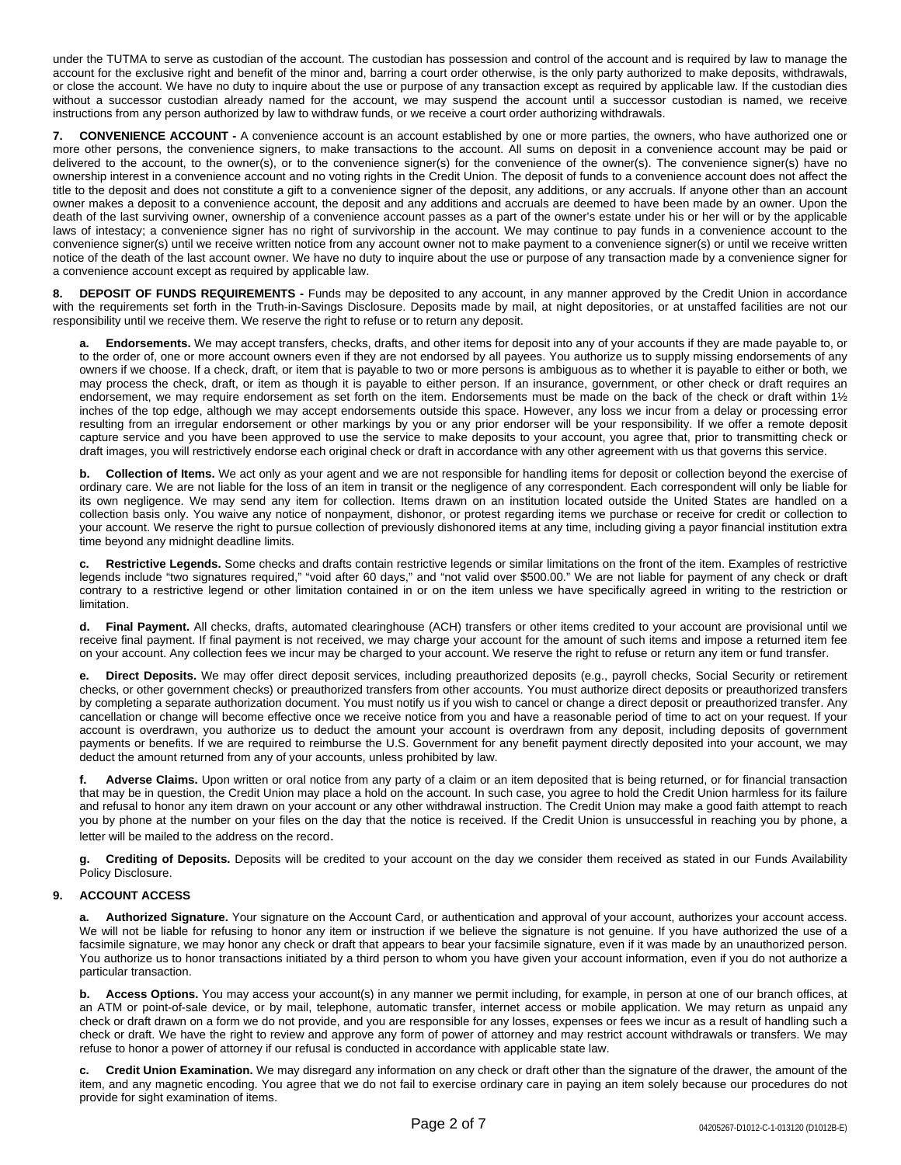under the TUTMA to serve as custodian of the account. The custodian has possession and control of the account and is required by law to manage the account for the exclusive right and benefit of the minor and, barring a court order otherwise, is the only party authorized to make deposits, withdrawals, or close the account. We have no duty to inquire about the use or purpose of any transaction except as required by applicable law. If the custodian dies without a successor custodian already named for the account, we may suspend the account until a successor custodian is named, we receive instructions from any person authorized by law to withdraw funds, or we receive a court order authorizing withdrawals.

**7. CONVENIENCE ACCOUNT -** A convenience account is an account established by one or more parties, the owners, who have authorized one or more other persons, the convenience signers, to make transactions to the account. All sums on deposit in a convenience account may be paid or delivered to the account, to the owner(s), or to the convenience signer(s) for the convenience of the owner(s). The convenience signer(s) have no ownership interest in a convenience account and no voting rights in the Credit Union. The deposit of funds to a convenience account does not affect the title to the deposit and does not constitute a gift to a convenience signer of the deposit, any additions, or any accruals. If anyone other than an account owner makes a deposit to a convenience account, the deposit and any additions and accruals are deemed to have been made by an owner. Upon the death of the last surviving owner, ownership of a convenience account passes as a part of the owner's estate under his or her will or by the applicable laws of intestacy; a convenience signer has no right of survivorship in the account. We may continue to pay funds in a convenience account to the convenience signer(s) until we receive written notice from any account owner not to make payment to a convenience signer(s) or until we receive written notice of the death of the last account owner. We have no duty to inquire about the use or purpose of any transaction made by a convenience signer for a convenience account except as required by applicable law.

**8. DEPOSIT OF FUNDS REQUIREMENTS -** Funds may be deposited to any account, in any manner approved by the Credit Union in accordance with the requirements set forth in the Truth-in-Savings Disclosure. Deposits made by mail, at night depositories, or at unstaffed facilities are not our responsibility until we receive them. We reserve the right to refuse or to return any deposit.

**a. Endorsements.** We may accept transfers, checks, drafts, and other items for deposit into any of your accounts if they are made payable to, or to the order of, one or more account owners even if they are not endorsed by all payees. You authorize us to supply missing endorsements of any owners if we choose. If a check, draft, or item that is payable to two or more persons is ambiguous as to whether it is payable to either or both, we may process the check, draft, or item as though it is payable to either person. If an insurance, government, or other check or draft requires an endorsement, we may require endorsement as set forth on the item. Endorsements must be made on the back of the check or draft within 1½ inches of the top edge, although we may accept endorsements outside this space. However, any loss we incur from a delay or processing error resulting from an irregular endorsement or other markings by you or any prior endorser will be your responsibility. If we offer a remote deposit capture service and you have been approved to use the service to make deposits to your account, you agree that, prior to transmitting check or draft images, you will restrictively endorse each original check or draft in accordance with any other agreement with us that governs this service.

**b. Collection of Items.** We act only as your agent and we are not responsible for handling items for deposit or collection beyond the exercise of ordinary care. We are not liable for the loss of an item in transit or the negligence of any correspondent. Each correspondent will only be liable for its own negligence. We may send any item for collection. Items drawn on an institution located outside the United States are handled on a collection basis only. You waive any notice of nonpayment, dishonor, or protest regarding items we purchase or receive for credit or collection to your account. We reserve the right to pursue collection of previously dishonored items at any time, including giving a payor financial institution extra time beyond any midnight deadline limits.

**c. Restrictive Legends.** Some checks and drafts contain restrictive legends or similar limitations on the front of the item. Examples of restrictive legends include "two signatures required," "void after 60 days," and "not valid over \$500.00." We are not liable for payment of any check or draft contrary to a restrictive legend or other limitation contained in or on the item unless we have specifically agreed in writing to the restriction or **limitation** 

**d. Final Payment.** All checks, drafts, automated clearinghouse (ACH) transfers or other items credited to your account are provisional until we receive final payment. If final payment is not received, we may charge your account for the amount of such items and impose a returned item fee on your account. Any collection fees we incur may be charged to your account. We reserve the right to refuse or return any item or fund transfer.

**e. Direct Deposits.** We may offer direct deposit services, including preauthorized deposits (e.g., payroll checks, Social Security or retirement checks, or other government checks) or preauthorized transfers from other accounts. You must authorize direct deposits or preauthorized transfers by completing a separate authorization document. You must notify us if you wish to cancel or change a direct deposit or preauthorized transfer. Any cancellation or change will become effective once we receive notice from you and have a reasonable period of time to act on your request. If your account is overdrawn, you authorize us to deduct the amount your account is overdrawn from any deposit, including deposits of government payments or benefits. If we are required to reimburse the U.S. Government for any benefit payment directly deposited into your account, we may deduct the amount returned from any of your accounts, unless prohibited by law.

**f. Adverse Claims.** Upon written or oral notice from any party of a claim or an item deposited that is being returned, or for financial transaction that may be in question, the Credit Union may place a hold on the account. In such case, you agree to hold the Credit Union harmless for its failure and refusal to honor any item drawn on your account or any other withdrawal instruction. The Credit Union may make a good faith attempt to reach you by phone at the number on your files on the day that the notice is received. If the Credit Union is unsuccessful in reaching you by phone, a letter will be mailed to the address on the record.

**g. Crediting of Deposits.** Deposits will be credited to your account on the day we consider them received as stated in our Funds Availability Policy Disclosure.

## **9. ACCOUNT ACCESS**

**a. Authorized Signature.** Your signature on the Account Card, or authentication and approval of your account, authorizes your account access. We will not be liable for refusing to honor any item or instruction if we believe the signature is not genuine. If you have authorized the use of a facsimile signature, we may honor any check or draft that appears to bear your facsimile signature, even if it was made by an unauthorized person. You authorize us to honor transactions initiated by a third person to whom you have given your account information, even if you do not authorize a particular transaction.

**b. Access Options.** You may access your account(s) in any manner we permit including, for example, in person at one of our branch offices, at an ATM or point-of-sale device, or by mail, telephone, automatic transfer, internet access or mobile application. We may return as unpaid any check or draft drawn on a form we do not provide, and you are responsible for any losses, expenses or fees we incur as a result of handling such a check or draft. We have the right to review and approve any form of power of attorney and may restrict account withdrawals or transfers. We may refuse to honor a power of attorney if our refusal is conducted in accordance with applicable state law.

**c. Credit Union Examination.** We may disregard any information on any check or draft other than the signature of the drawer, the amount of the item, and any magnetic encoding. You agree that we do not fail to exercise ordinary care in paying an item solely because our procedures do not provide for sight examination of items.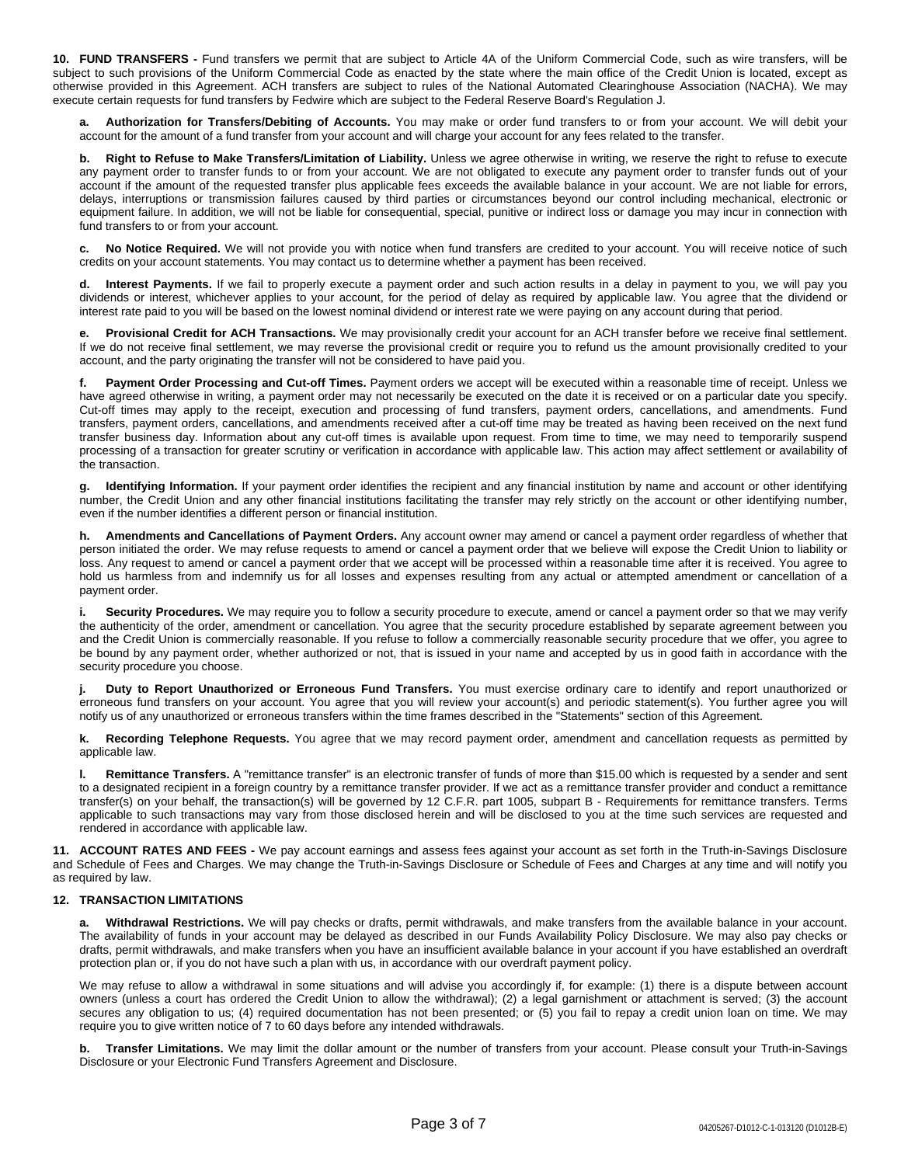**10. FUND TRANSFERS -** Fund transfers we permit that are subject to Article 4A of the Uniform Commercial Code, such as wire transfers, will be subject to such provisions of the Uniform Commercial Code as enacted by the state where the main office of the Credit Union is located, except as otherwise provided in this Agreement. ACH transfers are subject to rules of the National Automated Clearinghouse Association (NACHA). We may execute certain requests for fund transfers by Fedwire which are subject to the Federal Reserve Board's Regulation J.

Authorization for Transfers/Debiting of Accounts. You may make or order fund transfers to or from your account. We will debit your account for the amount of a fund transfer from your account and will charge your account for any fees related to the transfer.

**b. Right to Refuse to Make Transfers/Limitation of Liability.** Unless we agree otherwise in writing, we reserve the right to refuse to execute any payment order to transfer funds to or from your account. We are not obligated to execute any payment order to transfer funds out of your account if the amount of the requested transfer plus applicable fees exceeds the available balance in your account. We are not liable for errors, delays, interruptions or transmission failures caused by third parties or circumstances beyond our control including mechanical, electronic or equipment failure. In addition, we will not be liable for consequential, special, punitive or indirect loss or damage you may incur in connection with fund transfers to or from your account.

**c. No Notice Required.** We will not provide you with notice when fund transfers are credited to your account. You will receive notice of such credits on your account statements. You may contact us to determine whether a payment has been received.

Interest Payments. If we fail to properly execute a payment order and such action results in a delay in payment to you, we will pay you dividends or interest, whichever applies to your account, for the period of delay as required by applicable law. You agree that the dividend or interest rate paid to you will be based on the lowest nominal dividend or interest rate we were paying on any account during that period.

**e. Provisional Credit for ACH Transactions.** We may provisionally credit your account for an ACH transfer before we receive final settlement. If we do not receive final settlement, we may reverse the provisional credit or require you to refund us the amount provisionally credited to your account, and the party originating the transfer will not be considered to have paid you.

**f. Payment Order Processing and Cut-off Times.** Payment orders we accept will be executed within a reasonable time of receipt. Unless we have agreed otherwise in writing, a payment order may not necessarily be executed on the date it is received or on a particular date you specify. Cut-off times may apply to the receipt, execution and processing of fund transfers, payment orders, cancellations, and amendments. Fund transfers, payment orders, cancellations, and amendments received after a cut-off time may be treated as having been received on the next fund transfer business day. Information about any cut-off times is available upon request. From time to time, we may need to temporarily suspend processing of a transaction for greater scrutiny or verification in accordance with applicable law. This action may affect settlement or availability of the transaction.

**g. Identifying Information.** If your payment order identifies the recipient and any financial institution by name and account or other identifying number, the Credit Union and any other financial institutions facilitating the transfer may rely strictly on the account or other identifying number, even if the number identifies a different person or financial institution.

**h. Amendments and Cancellations of Payment Orders.** Any account owner may amend or cancel a payment order regardless of whether that person initiated the order. We may refuse requests to amend or cancel a payment order that we believe will expose the Credit Union to liability or loss. Any request to amend or cancel a payment order that we accept will be processed within a reasonable time after it is received. You agree to hold us harmless from and indemnify us for all losses and expenses resulting from any actual or attempted amendment or cancellation of a payment order.

Security Procedures. We may require you to follow a security procedure to execute, amend or cancel a payment order so that we may verify the authenticity of the order, amendment or cancellation. You agree that the security procedure established by separate agreement between you and the Credit Union is commercially reasonable. If you refuse to follow a commercially reasonable security procedure that we offer, you agree to be bound by any payment order, whether authorized or not, that is issued in your name and accepted by us in good faith in accordance with the security procedure you choose.

**j. Duty to Report Unauthorized or Erroneous Fund Transfers.** You must exercise ordinary care to identify and report unauthorized or erroneous fund transfers on your account. You agree that you will review your account(s) and periodic statement(s). You further agree you will notify us of any unauthorized or erroneous transfers within the time frames described in the "Statements" section of this Agreement.

**k. Recording Telephone Requests.** You agree that we may record payment order, amendment and cancellation requests as permitted by applicable law.

**l. Remittance Transfers.** A "remittance transfer" is an electronic transfer of funds of more than \$15.00 which is requested by a sender and sent to a designated recipient in a foreign country by a remittance transfer provider. If we act as a remittance transfer provider and conduct a remittance transfer(s) on your behalf, the transaction(s) will be governed by 12 C.F.R. part 1005, subpart B - Requirements for remittance transfers. Terms applicable to such transactions may vary from those disclosed herein and will be disclosed to you at the time such services are requested and rendered in accordance with applicable law.

**11. ACCOUNT RATES AND FEES -** We pay account earnings and assess fees against your account as set forth in the Truth-in-Savings Disclosure and Schedule of Fees and Charges. We may change the Truth-in-Savings Disclosure or Schedule of Fees and Charges at any time and will notify you as required by law.

#### **12. TRANSACTION LIMITATIONS**

**a. Withdrawal Restrictions.** We will pay checks or drafts, permit withdrawals, and make transfers from the available balance in your account. The availability of funds in your account may be delayed as described in our Funds Availability Policy Disclosure. We may also pay checks or drafts, permit withdrawals, and make transfers when you have an insufficient available balance in your account if you have established an overdraft protection plan or, if you do not have such a plan with us, in accordance with our overdraft payment policy.

We may refuse to allow a withdrawal in some situations and will advise you accordingly if, for example: (1) there is a dispute between account owners (unless a court has ordered the Credit Union to allow the withdrawal); (2) a legal garnishment or attachment is served; (3) the account secures any obligation to us; (4) required documentation has not been presented; or (5) you fail to repay a credit union loan on time. We may require you to give written notice of 7 to 60 days before any intended withdrawals.

**b. Transfer Limitations.** We may limit the dollar amount or the number of transfers from your account. Please consult your Truth-in-Savings Disclosure or your Electronic Fund Transfers Agreement and Disclosure.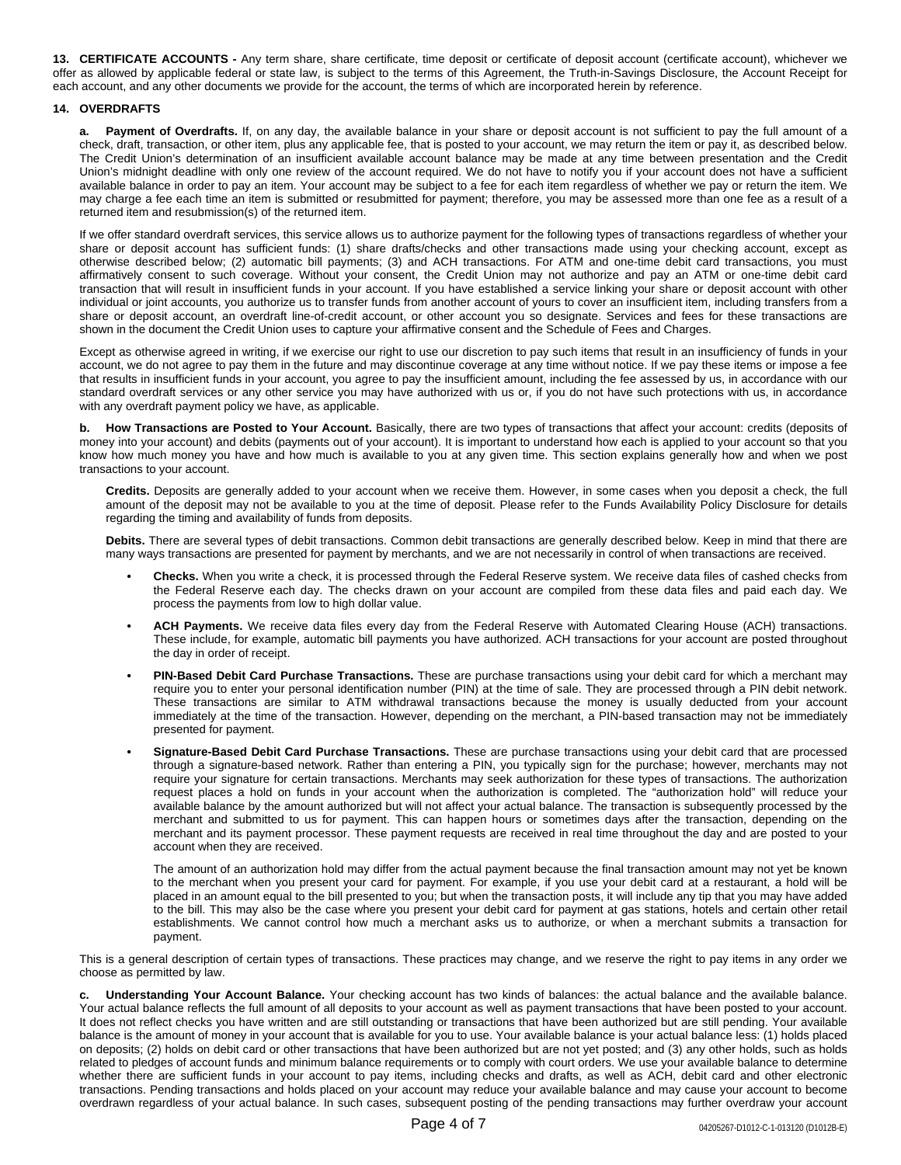**13. CERTIFICATE ACCOUNTS -** Any term share, share certificate, time deposit or certificate of deposit account (certificate account), whichever we offer as allowed by applicable federal or state law, is subject to the terms of this Agreement, the Truth-in-Savings Disclosure, the Account Receipt for each account, and any other documents we provide for the account, the terms of which are incorporated herein by reference.

#### **14. OVERDRAFTS**

**a. Payment of Overdrafts.** If, on any day, the available balance in your share or deposit account is not sufficient to pay the full amount of a check, draft, transaction, or other item, plus any applicable fee, that is posted to your account, we may return the item or pay it, as described below. The Credit Union's determination of an insufficient available account balance may be made at any time between presentation and the Credit Union's midnight deadline with only one review of the account required. We do not have to notify you if your account does not have a sufficient available balance in order to pay an item. Your account may be subject to a fee for each item regardless of whether we pay or return the item. We may charge a fee each time an item is submitted or resubmitted for payment; therefore, you may be assessed more than one fee as a result of a returned item and resubmission(s) of the returned item.

If we offer standard overdraft services, this service allows us to authorize payment for the following types of transactions regardless of whether your share or deposit account has sufficient funds: (1) share drafts/checks and other transactions made using your checking account, except as otherwise described below; (2) automatic bill payments; (3) and ACH transactions. For ATM and one-time debit card transactions, you must affirmatively consent to such coverage. Without your consent, the Credit Union may not authorize and pay an ATM or one-time debit card transaction that will result in insufficient funds in your account. If you have established a service linking your share or deposit account with other individual or joint accounts, you authorize us to transfer funds from another account of yours to cover an insufficient item, including transfers from a share or deposit account, an overdraft line-of-credit account, or other account you so designate. Services and fees for these transactions are shown in the document the Credit Union uses to capture your affirmative consent and the Schedule of Fees and Charges.

Except as otherwise agreed in writing, if we exercise our right to use our discretion to pay such items that result in an insufficiency of funds in your account, we do not agree to pay them in the future and may discontinue coverage at any time without notice. If we pay these items or impose a fee that results in insufficient funds in your account, you agree to pay the insufficient amount, including the fee assessed by us, in accordance with our standard overdraft services or any other service you may have authorized with us or, if you do not have such protections with us, in accordance with any overdraft payment policy we have, as applicable.

**b. How Transactions are Posted to Your Account.** Basically, there are two types of transactions that affect your account: credits (deposits of money into your account) and debits (payments out of your account). It is important to understand how each is applied to your account so that you know how much money you have and how much is available to you at any given time. This section explains generally how and when we post transactions to your account.

**Credits.** Deposits are generally added to your account when we receive them. However, in some cases when you deposit a check, the full amount of the deposit may not be available to you at the time of deposit. Please refer to the Funds Availability Policy Disclosure for details regarding the timing and availability of funds from deposits.

**Debits.** There are several types of debit transactions. Common debit transactions are generally described below. Keep in mind that there are many ways transactions are presented for payment by merchants, and we are not necessarily in control of when transactions are received.

- **• Checks.** When you write a check, it is processed through the Federal Reserve system. We receive data files of cashed checks from the Federal Reserve each day. The checks drawn on your account are compiled from these data files and paid each day. We process the payments from low to high dollar value.
- **• ACH Payments.** We receive data files every day from the Federal Reserve with Automated Clearing House (ACH) transactions. These include, for example, automatic bill payments you have authorized. ACH transactions for your account are posted throughout the day in order of receipt.
- **• PIN-Based Debit Card Purchase Transactions.** These are purchase transactions using your debit card for which a merchant may require you to enter your personal identification number (PIN) at the time of sale. They are processed through a PIN debit network. These transactions are similar to ATM withdrawal transactions because the money is usually deducted from your account immediately at the time of the transaction. However, depending on the merchant, a PIN-based transaction may not be immediately presented for payment.
- **• Signature-Based Debit Card Purchase Transactions.** These are purchase transactions using your debit card that are processed through a signature-based network. Rather than entering a PIN, you typically sign for the purchase; however, merchants may not require your signature for certain transactions. Merchants may seek authorization for these types of transactions. The authorization request places a hold on funds in your account when the authorization is completed. The "authorization hold" will reduce your available balance by the amount authorized but will not affect your actual balance. The transaction is subsequently processed by the merchant and submitted to us for payment. This can happen hours or sometimes days after the transaction, depending on the merchant and its payment processor. These payment requests are received in real time throughout the day and are posted to your account when they are received.

The amount of an authorization hold may differ from the actual payment because the final transaction amount may not yet be known to the merchant when you present your card for payment. For example, if you use your debit card at a restaurant, a hold will be placed in an amount equal to the bill presented to you; but when the transaction posts, it will include any tip that you may have added to the bill. This may also be the case where you present your debit card for payment at gas stations, hotels and certain other retail establishments. We cannot control how much a merchant asks us to authorize, or when a merchant submits a transaction for payment.

This is a general description of certain types of transactions. These practices may change, and we reserve the right to pay items in any order we choose as permitted by law.

**c. Understanding Your Account Balance.** Your checking account has two kinds of balances: the actual balance and the available balance. Your actual balance reflects the full amount of all deposits to your account as well as payment transactions that have been posted to your account. It does not reflect checks you have written and are still outstanding or transactions that have been authorized but are still pending. Your available balance is the amount of money in your account that is available for you to use. Your available balance is your actual balance less: (1) holds placed on deposits; (2) holds on debit card or other transactions that have been authorized but are not yet posted; and (3) any other holds, such as holds related to pledges of account funds and minimum balance requirements or to comply with court orders. We use your available balance to determine whether there are sufficient funds in your account to pay items, including checks and drafts, as well as ACH, debit card and other electronic transactions. Pending transactions and holds placed on your account may reduce your available balance and may cause your account to become overdrawn regardless of your actual balance. In such cases, subsequent posting of the pending transactions may further overdraw your account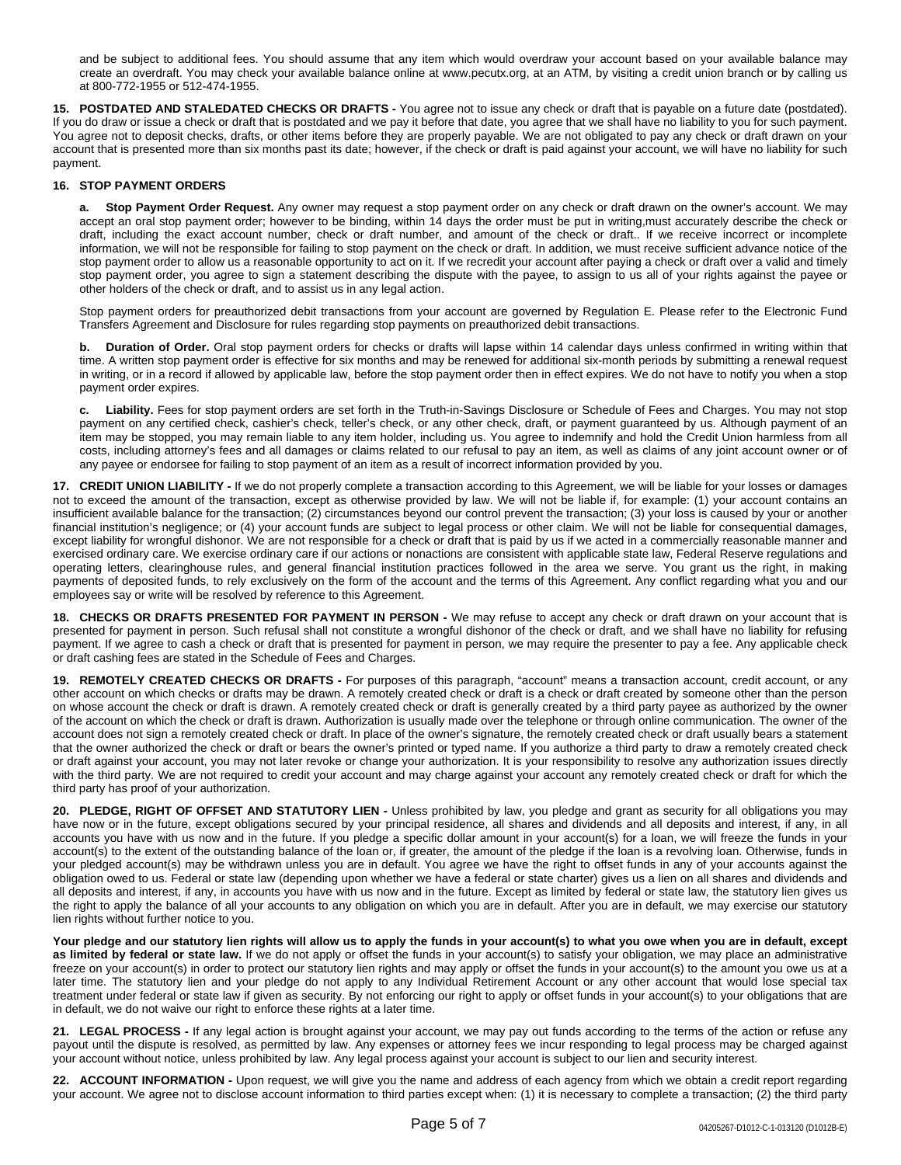and be subject to additional fees. You should assume that any item which would overdraw your account based on your available balance may create an overdraft. You may check your available balance online at www.pecutx.org, at an ATM, by visiting a credit union branch or by calling us at 800-772-1955 or 512-474-1955.

**15. POSTDATED AND STALEDATED CHECKS OR DRAFTS -** You agree not to issue any check or draft that is payable on a future date (postdated). If you do draw or issue a check or draft that is postdated and we pay it before that date, you agree that we shall have no liability to you for such payment. You agree not to deposit checks, drafts, or other items before they are properly payable. We are not obligated to pay any check or draft drawn on your account that is presented more than six months past its date; however, if the check or draft is paid against your account, we will have no liability for such payment.

### **16. STOP PAYMENT ORDERS**

**a. Stop Payment Order Request.** Any owner may request a stop payment order on any check or draft drawn on the owner's account. We may accept an oral stop payment order; however to be binding, within 14 days the order must be put in writing,must accurately describe the check or draft, including the exact account number, check or draft number, and amount of the check or draft.. If we receive incorrect or incomplete information, we will not be responsible for failing to stop payment on the check or draft. In addition, we must receive sufficient advance notice of the stop payment order to allow us a reasonable opportunity to act on it. If we recredit your account after paying a check or draft over a valid and timely stop payment order, you agree to sign a statement describing the dispute with the payee, to assign to us all of your rights against the payee or other holders of the check or draft, and to assist us in any legal action.

Stop payment orders for preauthorized debit transactions from your account are governed by Regulation E. Please refer to the Electronic Fund Transfers Agreement and Disclosure for rules regarding stop payments on preauthorized debit transactions.

**b. Duration of Order.** Oral stop payment orders for checks or drafts will lapse within 14 calendar days unless confirmed in writing within that time. A written stop payment order is effective for six months and may be renewed for additional six-month periods by submitting a renewal request in writing, or in a record if allowed by applicable law, before the stop payment order then in effect expires. We do not have to notify you when a stop payment order expires.

**c. Liability.** Fees for stop payment orders are set forth in the Truth-in-Savings Disclosure or Schedule of Fees and Charges. You may not stop payment on any certified check, cashier's check, teller's check, or any other check, draft, or payment guaranteed by us. Although payment of an item may be stopped, you may remain liable to any item holder, including us. You agree to indemnify and hold the Credit Union harmless from all costs, including attorney's fees and all damages or claims related to our refusal to pay an item, as well as claims of any joint account owner or of any payee or endorsee for failing to stop payment of an item as a result of incorrect information provided by you.

**17. CREDIT UNION LIABILITY -** If we do not properly complete a transaction according to this Agreement, we will be liable for your losses or damages not to exceed the amount of the transaction, except as otherwise provided by law. We will not be liable if, for example: (1) your account contains an insufficient available balance for the transaction; (2) circumstances beyond our control prevent the transaction; (3) your loss is caused by your or another financial institution's negligence; or (4) your account funds are subject to legal process or other claim. We will not be liable for consequential damages, except liability for wrongful dishonor. We are not responsible for a check or draft that is paid by us if we acted in a commercially reasonable manner and exercised ordinary care. We exercise ordinary care if our actions or nonactions are consistent with applicable state law, Federal Reserve regulations and operating letters, clearinghouse rules, and general financial institution practices followed in the area we serve. You grant us the right, in making payments of deposited funds, to rely exclusively on the form of the account and the terms of this Agreement. Any conflict regarding what you and our employees say or write will be resolved by reference to this Agreement.

**18. CHECKS OR DRAFTS PRESENTED FOR PAYMENT IN PERSON -** We may refuse to accept any check or draft drawn on your account that is presented for payment in person. Such refusal shall not constitute a wrongful dishonor of the check or draft, and we shall have no liability for refusing payment. If we agree to cash a check or draft that is presented for payment in person, we may require the presenter to pay a fee. Any applicable check or draft cashing fees are stated in the Schedule of Fees and Charges.

**19. REMOTELY CREATED CHECKS OR DRAFTS -** For purposes of this paragraph, "account" means a transaction account, credit account, or any other account on which checks or drafts may be drawn. A remotely created check or draft is a check or draft created by someone other than the person on whose account the check or draft is drawn. A remotely created check or draft is generally created by a third party payee as authorized by the owner of the account on which the check or draft is drawn. Authorization is usually made over the telephone or through online communication. The owner of the account does not sign a remotely created check or draft. In place of the owner's signature, the remotely created check or draft usually bears a statement that the owner authorized the check or draft or bears the owner's printed or typed name. If you authorize a third party to draw a remotely created check or draft against your account, you may not later revoke or change your authorization. It is your responsibility to resolve any authorization issues directly with the third party. We are not required to credit your account and may charge against your account any remotely created check or draft for which the third party has proof of your authorization.

**20. PLEDGE, RIGHT OF OFFSET AND STATUTORY LIEN -** Unless prohibited by law, you pledge and grant as security for all obligations you may have now or in the future, except obligations secured by your principal residence, all shares and dividends and all deposits and interest, if any, in all accounts you have with us now and in the future. If you pledge a specific dollar amount in your account(s) for a loan, we will freeze the funds in your account(s) to the extent of the outstanding balance of the loan or, if greater, the amount of the pledge if the loan is a revolving loan. Otherwise, funds in your pledged account(s) may be withdrawn unless you are in default. You agree we have the right to offset funds in any of your accounts against the obligation owed to us. Federal or state law (depending upon whether we have a federal or state charter) gives us a lien on all shares and dividends and all deposits and interest, if any, in accounts you have with us now and in the future. Except as limited by federal or state law, the statutory lien gives us the right to apply the balance of all your accounts to any obligation on which you are in default. After you are in default, we may exercise our statutory lien rights without further notice to you.

Your pledge and our statutory lien rights will allow us to apply the funds in your account(s) to what you owe when you are in default, except **as limited by federal or state law.** If we do not apply or offset the funds in your account(s) to satisfy your obligation, we may place an administrative freeze on your account(s) in order to protect our statutory lien rights and may apply or offset the funds in your account(s) to the amount you owe us at a later time. The statutory lien and your pledge do not apply to any Individual Retirement Account or any other account that would lose special tax treatment under federal or state law if given as security. By not enforcing our right to apply or offset funds in your account(s) to your obligations that are in default, we do not waive our right to enforce these rights at a later time.

**21. LEGAL PROCESS -** If any legal action is brought against your account, we may pay out funds according to the terms of the action or refuse any payout until the dispute is resolved, as permitted by law. Any expenses or attorney fees we incur responding to legal process may be charged against your account without notice, unless prohibited by law. Any legal process against your account is subject to our lien and security interest.

**22. ACCOUNT INFORMATION -** Upon request, we will give you the name and address of each agency from which we obtain a credit report regarding your account. We agree not to disclose account information to third parties except when: (1) it is necessary to complete a transaction; (2) the third party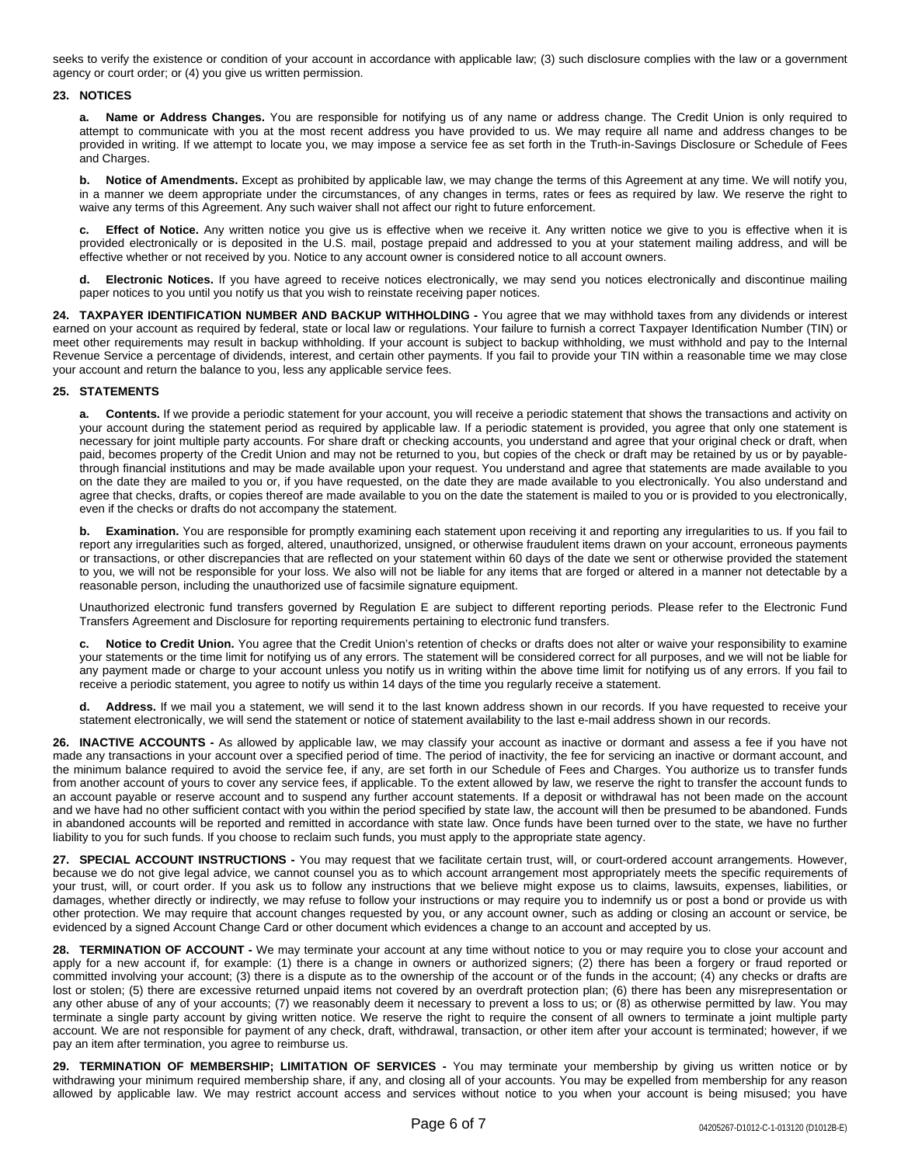seeks to verify the existence or condition of your account in accordance with applicable law; (3) such disclosure complies with the law or a government agency or court order; or (4) you give us written permission.

#### **23. NOTICES**

**a. Name or Address Changes.** You are responsible for notifying us of any name or address change. The Credit Union is only required to attempt to communicate with you at the most recent address you have provided to us. We may require all name and address changes to be provided in writing. If we attempt to locate you, we may impose a service fee as set forth in the Truth-in-Savings Disclosure or Schedule of Fees and Charges.

**b. Notice of Amendments.** Except as prohibited by applicable law, we may change the terms of this Agreement at any time. We will notify you, in a manner we deem appropriate under the circumstances, of any changes in terms, rates or fees as required by law. We reserve the right to waive any terms of this Agreement. Any such waiver shall not affect our right to future enforcement.

**c. Effect of Notice.** Any written notice you give us is effective when we receive it. Any written notice we give to you is effective when it is provided electronically or is deposited in the U.S. mail, postage prepaid and addressed to you at your statement mailing address, and will be effective whether or not received by you. Notice to any account owner is considered notice to all account owners.

**d. Electronic Notices.** If you have agreed to receive notices electronically, we may send you notices electronically and discontinue mailing paper notices to you until you notify us that you wish to reinstate receiving paper notices.

**24. TAXPAYER IDENTIFICATION NUMBER AND BACKUP WITHHOLDING -** You agree that we may withhold taxes from any dividends or interest earned on your account as required by federal, state or local law or regulations. Your failure to furnish a correct Taxpayer Identification Number (TIN) or meet other requirements may result in backup withholding. If your account is subject to backup withholding, we must withhold and pay to the Internal Revenue Service a percentage of dividends, interest, and certain other payments. If you fail to provide your TIN within a reasonable time we may close your account and return the balance to you, less any applicable service fees.

#### **25. STATEMENTS**

**a. Contents.** If we provide a periodic statement for your account, you will receive a periodic statement that shows the transactions and activity on your account during the statement period as required by applicable law. If a periodic statement is provided, you agree that only one statement is necessary for joint multiple party accounts. For share draft or checking accounts, you understand and agree that your original check or draft, when paid, becomes property of the Credit Union and may not be returned to you, but copies of the check or draft may be retained by us or by payablethrough financial institutions and may be made available upon your request. You understand and agree that statements are made available to you on the date they are mailed to you or, if you have requested, on the date they are made available to you electronically. You also understand and agree that checks, drafts, or copies thereof are made available to you on the date the statement is mailed to you or is provided to you electronically, even if the checks or drafts do not accompany the statement.

**b.** Examination. You are responsible for promptly examining each statement upon receiving it and reporting any irregularities to us. If you fail to report any irregularities such as forged, altered, unauthorized, unsigned, or otherwise fraudulent items drawn on your account, erroneous payments or transactions, or other discrepancies that are reflected on your statement within 60 days of the date we sent or otherwise provided the statement to you, we will not be responsible for your loss. We also will not be liable for any items that are forged or altered in a manner not detectable by a reasonable person, including the unauthorized use of facsimile signature equipment.

Unauthorized electronic fund transfers governed by Regulation E are subject to different reporting periods. Please refer to the Electronic Fund Transfers Agreement and Disclosure for reporting requirements pertaining to electronic fund transfers.

**c. Notice to Credit Union.** You agree that the Credit Union's retention of checks or drafts does not alter or waive your responsibility to examine your statements or the time limit for notifying us of any errors. The statement will be considered correct for all purposes, and we will not be liable for any payment made or charge to your account unless you notify us in writing within the above time limit for notifying us of any errors. If you fail to receive a periodic statement, you agree to notify us within 14 days of the time you regularly receive a statement.

**d. Address.** If we mail you a statement, we will send it to the last known address shown in our records. If you have requested to receive your statement electronically, we will send the statement or notice of statement availability to the last e-mail address shown in our records.

**26. INACTIVE ACCOUNTS -** As allowed by applicable law, we may classify your account as inactive or dormant and assess a fee if you have not made any transactions in your account over a specified period of time. The period of inactivity, the fee for servicing an inactive or dormant account, and the minimum balance required to avoid the service fee, if any, are set forth in our Schedule of Fees and Charges. You authorize us to transfer funds from another account of yours to cover any service fees, if applicable. To the extent allowed by law, we reserve the right to transfer the account funds to an account payable or reserve account and to suspend any further account statements. If a deposit or withdrawal has not been made on the account and we have had no other sufficient contact with you within the period specified by state law, the account will then be presumed to be abandoned. Funds in abandoned accounts will be reported and remitted in accordance with state law. Once funds have been turned over to the state, we have no further liability to you for such funds. If you choose to reclaim such funds, you must apply to the appropriate state agency.

**27. SPECIAL ACCOUNT INSTRUCTIONS -** You may request that we facilitate certain trust, will, or court-ordered account arrangements. However, because we do not give legal advice, we cannot counsel you as to which account arrangement most appropriately meets the specific requirements of your trust, will, or court order. If you ask us to follow any instructions that we believe might expose us to claims, lawsuits, expenses, liabilities, or damages, whether directly or indirectly, we may refuse to follow your instructions or may require you to indemnify us or post a bond or provide us with other protection. We may require that account changes requested by you, or any account owner, such as adding or closing an account or service, be evidenced by a signed Account Change Card or other document which evidences a change to an account and accepted by us.

**28. TERMINATION OF ACCOUNT -** We may terminate your account at any time without notice to you or may require you to close your account and apply for a new account if, for example: (1) there is a change in owners or authorized signers; (2) there has been a forgery or fraud reported or committed involving your account; (3) there is a dispute as to the ownership of the account or of the funds in the account; (4) any checks or drafts are lost or stolen; (5) there are excessive returned unpaid items not covered by an overdraft protection plan; (6) there has been any misrepresentation or any other abuse of any of your accounts; (7) we reasonably deem it necessary to prevent a loss to us; or (8) as otherwise permitted by law. You may terminate a single party account by giving written notice. We reserve the right to require the consent of all owners to terminate a joint multiple party account. We are not responsible for payment of any check, draft, withdrawal, transaction, or other item after your account is terminated; however, if we pay an item after termination, you agree to reimburse us.

**29. TERMINATION OF MEMBERSHIP; LIMITATION OF SERVICES -** You may terminate your membership by giving us written notice or by withdrawing your minimum required membership share, if any, and closing all of your accounts. You may be expelled from membership for any reason allowed by applicable law. We may restrict account access and services without notice to you when your account is being misused; you have